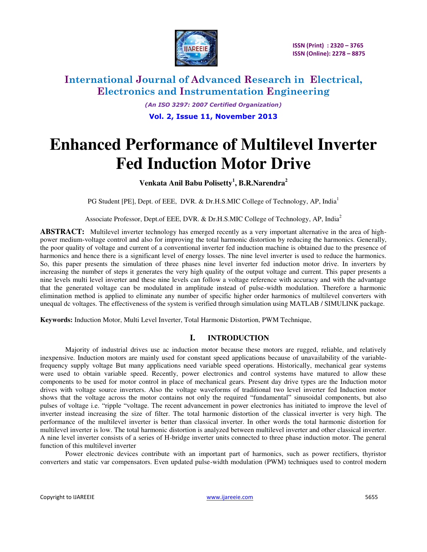

*(An ISO 3297: 2007 Certified Organization)*  **Vol. 2, Issue 11, November 2013**

# **Enhanced Performance of Multilevel Inverter Fed Induction Motor Drive**

**Venkata Anil Babu Polisetty<sup>1</sup> , B.R.Narendra<sup>2</sup>**

PG Student [PE], Dept. of EEE, DVR. & Dr.H.S.MIC College of Technology, AP, India<sup>1</sup>

Associate Professor, Dept.of EEE, DVR. & Dr.H.S.MIC College of Technology, AP, India<sup>2</sup>

**ABSTRACT:** Multilevel inverter technology has emerged recently as a very important alternative in the area of highpower medium-voltage control and also for improving the total harmonic distortion by reducing the harmonics. Generally, the poor quality of voltage and current of a conventional inverter fed induction machine is obtained due to the presence of harmonics and hence there is a significant level of energy losses. The nine level inverter is used to reduce the harmonics. So, this paper presents the simulation of three phases nine level inverter fed induction motor drive. In inverters by increasing the number of steps it generates the very high quality of the output voltage and current. This paper presents a nine levels multi level inverter and these nine levels can follow a voltage reference with accuracy and with the advantage that the generated voltage can be modulated in amplitude instead of pulse-width modulation. Therefore a harmonic elimination method is applied to eliminate any number of specific higher order harmonics of multilevel converters with unequal dc voltages. The effectiveness of the system is verified through simulation using MATLAB / SIMULINK package.

**Keywords:** Induction Motor, Multi Level Inverter, Total Harmonic Distortion, PWM Technique,

### **I. INTRODUCTION**

Majority of industrial drives use ac induction motor because these motors are rugged, reliable, and relatively inexpensive. Induction motors are mainly used for constant speed applications because of unavailability of the variablefrequency supply voltage But many applications need variable speed operations. Historically, mechanical gear systems were used to obtain variable speed. Recently, power electronics and control systems have matured to allow these components to be used for motor control in place of mechanical gears. Present day drive types are the Induction motor drives with voltage source inverters. Also the voltage waveforms of traditional two level inverter fed Induction motor shows that the voltage across the motor contains not only the required "fundamental" sinusoidal components, but also pulses of voltage i.e. "ripple "voltage. The recent advancement in power electronics has initiated to improve the level of inverter instead increasing the size of filter. The total harmonic distortion of the classical inverter is very high. The performance of the multilevel inverter is better than classical inverter. In other words the total harmonic distortion for multilevel inverter is low. The total harmonic distortion is analyzed between multilevel inverter and other classical inverter. A nine level inverter consists of a series of H-bridge inverter units connected to three phase induction motor. The general function of this multilevel inverter

Power electronic devices contribute with an important part of harmonics, such as power rectifiers, thyristor converters and static var compensators. Even updated pulse-width modulation (PWM) techniques used to control modern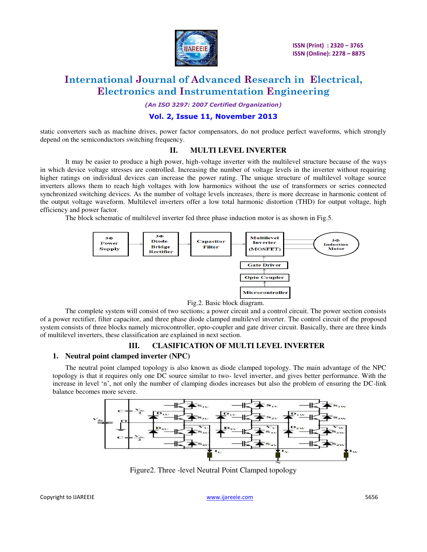

*(An ISO 3297: 2007 Certified Organization)* 

### **Vol. 2, Issue 11, November 2013**

static converters such as machine drives, power factor compensators, do not produce perfect waveforms, which strongly depend on the semiconductors switching frequency.

#### **II. MULTI LEVEL INVERTER**

It may be easier to produce a high power, high-voltage inverter with the multilevel structure because of the ways in which device voltage stresses are controlled. Increasing the number of voltage levels in the inverter without requiring higher ratings on individual devices can increase the power rating. The unique structure of multilevel voltage source inverters allows them to reach high voltages with low harmonics without the use of transformers or series connected synchronized switching devices. As the number of voltage levels increases, there is more decrease in harmonic content of the output voltage waveform. Multilevel inverters offer a low total harmonic distortion (THD) for output voltage, high efficiency and power factor.

The block schematic of multilevel inverter fed three phase induction motor is as shown in Fig.5.



#### Fig.2. Basic block diagram.

The complete system will consist of two sections; a power circuit and a control circuit. The power section consists of a power rectifier, filter capacitor, and three phase diode clamped multilevel inverter. The control circuit of the proposed system consists of three blocks namely microcontroller, opto-coupler and gate driver circuit. Basically, there are three kinds of multilevel inverters, these classification are explained in next section.

### **III. CLASIFICATION OF MULTI LEVEL INVERTER**

#### **1. Neutral point clamped inverter (NPC)**

The neutral point clamped topology is also known as diode clamped topology. The main advantage of the NPC topology is that it requires only one DC source similar to two- level inverter, and gives better performance. With the increase in level 'n', not only the number of clamping diodes increases but also the problem of ensuring the DC-link balance becomes more severe.



Figure2. Three -level Neutral Point Clamped topology

Copyright to IJAREEIE [www.ijareeie.com](http://www.ijareeie.com/) 5656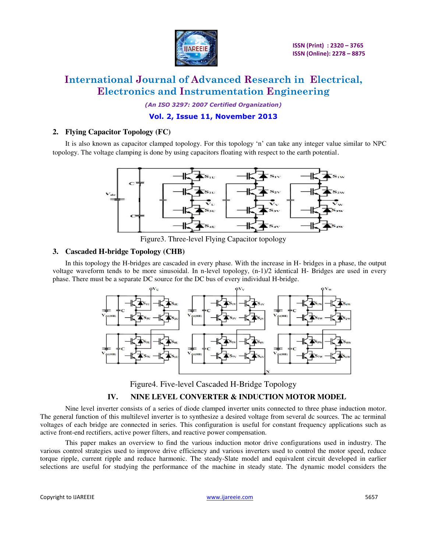

*(An ISO 3297: 2007 Certified Organization)* 

### **Vol. 2, Issue 11, November 2013**

### **2. Flying Capacitor Topology (FC)**

It is also known as capacitor clamped topology. For this topology 'n' can take any integer value similar to NPC topology. The voltage clamping is done by using capacitors floating with respect to the earth potential.



Figure3. Three-level Flying Capacitor topology

### **3. Cascaded H-bridge Topology (CHB)**

In this topology the H-bridges are cascaded in every phase. With the increase in H- bridges in a phase, the output voltage waveform tends to be more sinusoidal. In n-level topology, (n-1)/2 identical H- Bridges are used in every phase. There must be a separate DC source for the DC bus of every individual H-bridge.



Figure4. Five-level Cascaded H-Bridge Topology

### **IV. NINE LEVEL CONVERTER & INDUCTION MOTOR MODEL**

Nine level inverter consists of a series of diode clamped inverter units connected to three phase induction motor. The general function of this multilevel inverter is to synthesize a desired voltage from several dc sources. The ac terminal voltages of each bridge are connected in series. This configuration is useful for constant frequency applications such as active front-end rectifiers, active power filters, and reactive power compensation.

This paper makes an overview to find the various induction motor drive configurations used in industry. The various control strategies used to improve drive efficiency and various inverters used to control the motor speed, reduce torque ripple, current ripple and reduce harmonic. The steady-Slate model and equivalent circuit developed in earlier selections are useful for studying the performance of the machine in steady state. The dynamic model considers the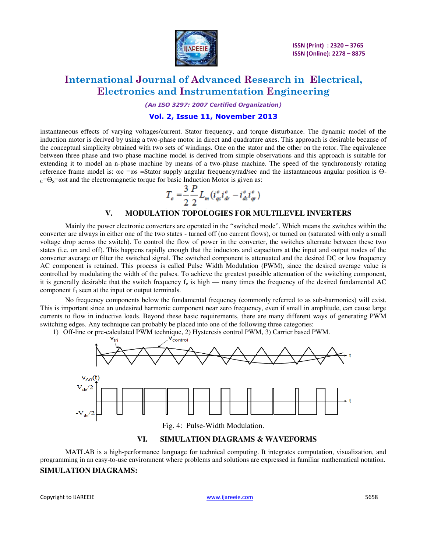

*(An ISO 3297: 2007 Certified Organization)* 

### **Vol. 2, Issue 11, November 2013**

instantaneous effects of varying voltages/current. Stator frequency, and torque disturbance. The dynamic model of the induction motor is derived by using a two-phase motor in direct and quadrature axes. This approach is desirable because of the conceptual simplicity obtained with two sets of windings. One on the stator and the other on the rotor. The equivalence between three phase and two phase machine model is derived from simple observations and this approach is suitable for extending it to model an n-phase machine by means of a two-phase machine. The speed of the synchronously rotating reference frame model is: ωc =ωs =Stator supply angular frequency/rad/sec and the instantaneous angular position is Ө $c = \Theta_s = \omega s$  and the electromagnetic torque for basic Induction Motor is given as:

$$
T_e = \frac{3}{2} \frac{P}{2} L_m (i_{qs}^e i_{dr}^e - i_{ds}^e i_{qr}^e)
$$

#### **V. MODULATION TOPOLOGIES FOR MULTILEVEL INVERTERS**

Mainly the power electronic converters are operated in the "switched mode". Which means the switches within the converter are always in either one of the two states - turned off (no current flows), or turned on (saturated with only a small voltage drop across the switch). To control the flow of power in the converter, the switches alternate between these two states (i.e. on and off). This happens rapidly enough that the inductors and capacitors at the input and output nodes of the converter average or filter the switched signal. The switched component is attenuated and the desired DC or low frequency AC component is retained. This process is called Pulse Width Modulation (PWM), since the desired average value is controlled by modulating the width of the pulses. To achieve the greatest possible attenuation of the switching component, it is generally desirable that the switch frequency  $f_c$  is high — many times the frequency of the desired fundamental AC component  $f_1$  seen at the input or output terminals.

No frequency components below the fundamental frequency (commonly referred to as sub-harmonics) will exist. This is important since an undesired harmonic component near zero frequency, even if small in amplitude, can cause large currents to flow in inductive loads. Beyond these basic requirements, there are many different ways of generating PWM switching edges. Any technique can probably be placed into one of the following three categories:

1) Off-line or pre-calculated PWM technique, 2) Hysteresis control PWM, 3) Carrier based PWM.



### **VI. SIMULATION DIAGRAMS & WAVEFORMS**

 MATLAB is a high-performance language for technical computing. It integrates computation, visualization, and programming in an easy-to-use environment where problems and solutions are expressed in familiar mathematical notation. **SIMULATION DIAGRAMS:** 

Copyright to IJAREEIE [www.ijareeie.com](http://www.ijareeie.com/) 5658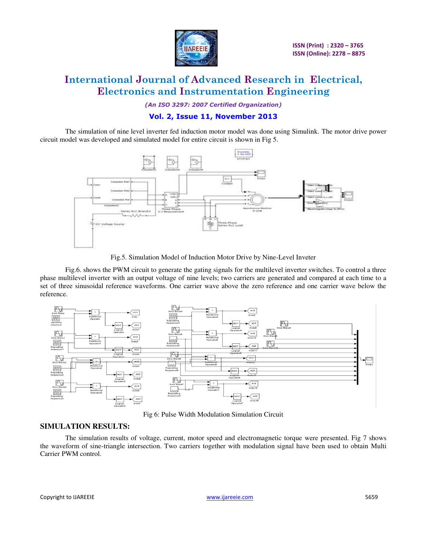

*(An ISO 3297: 2007 Certified Organization)* 

### **Vol. 2, Issue 11, November 2013**

The simulation of nine level inverter fed induction motor model was done using Simulink. The motor drive power circuit model was developed and simulated model for entire circuit is shown in Fig 5.



Fig.5. Simulation Model of Induction Motor Drive by Nine-Level Inveter

Fig.6. shows the PWM circuit to generate the gating signals for the multilevel inverter switches. To control a three phase multilevel inverter with an output voltage of nine levels; two carriers are generated and compared at each time to a set of three sinusoidal reference waveforms. One carrier wave above the zero reference and one carrier wave below the reference.



Fig 6: Pulse Width Modulation Simulation Circuit

### **SIMULATION RESULTS:**

The simulation results of voltage, current, motor speed and electromagnetic torque were presented. Fig 7 shows the waveform of sine-triangle intersection. Two carriers together with modulation signal have been used to obtain Multi Carrier PWM control.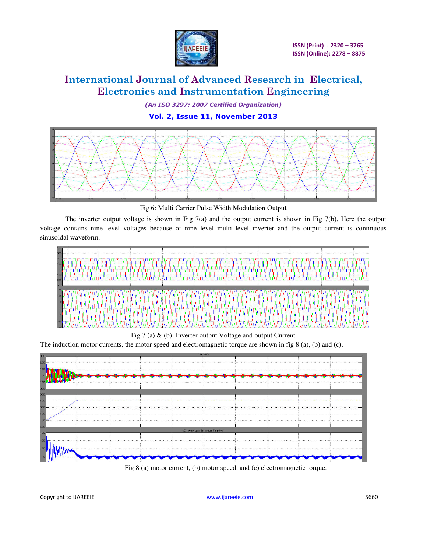

*(An ISO 3297: 2007 Certified Organization)* 

**Vol. 2, Issue 11, November 2013**



Fig 6: Multi Carrier Pulse Width Modulation Output

The inverter output voltage is shown in Fig 7(a) and the output current is shown in Fig 7(b). Here the output voltage contains nine level voltages because of nine level multi level inverter and the output current is continuous sinusoidal waveform.



Fig 7 (a) & (b): Inverter output Voltage and output Current

The induction motor currents, the motor speed and electromagnetic torque are shown in fig 8 (a), (b) and (c).



Fig 8 (a) motor current, (b) motor speed, and (c) electromagnetic torque.

Copyright to IJAREEIE and the community of the control of the [www.ijareeie.com](http://www.ijareeie.com/) 5660 copyright to IJAREEIE